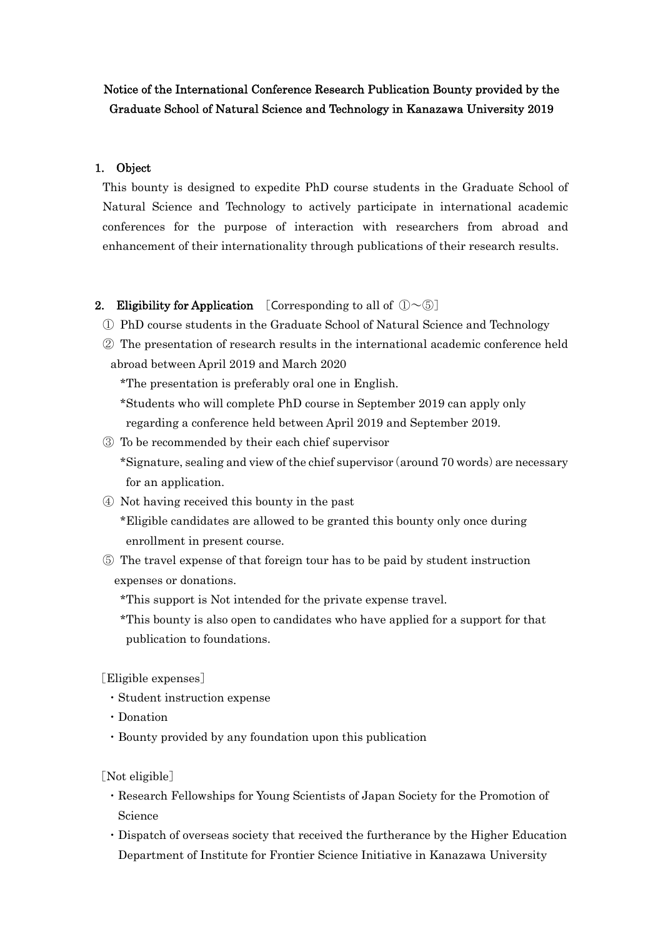## Notice of the International Conference Research Publication Bounty provided by the Graduate School of Natural Science and Technology in Kanazawa University 2019

#### 1. Object

This bounty is designed to expedite PhD course students in the Graduate School of Natural Science and Technology to actively participate in international academic conferences for the purpose of interaction with researchers from abroad and enhancement of their internationality through publications of their research results.

#### 2. Eligibility for Application [Corresponding to all of  $(D\sim\mathbb{S})$ ]

- ① PhD course students in the Graduate School of Natural Science and Technology
- ② The presentation of research results in the international academic conference held abroad between April 2019 and March 2020

\*The presentation is preferably oral one in English.

\*Students who will complete PhD course in September 2019 can apply only regarding a conference held between April 2019 and September 2019.

- ③ To be recommended by their each chief supervisor \*Signature, sealing and view of the chief supervisor(around 70 words)are necessary for an application.
- ④ Not having received this bounty in the past

\*Eligible candidates are allowed to be granted this bounty only once during enrollment in present course.

⑤ The travel expense of that foreign tour has to be paid by student instruction expenses or donations.

\*This support is Not intended for the private expense travel.

\*This bounty is also open to candidates who have applied for a support for that publication to foundations.

[Eligible expenses]

- ・Student instruction expense
- ・Donation
- ・Bounty provided by any foundation upon this publication

[Not eligible]

- ・Research Fellowships for Young Scientists of Japan Society for the Promotion of Science
- ・Dispatch of overseas society that received the furtherance by the Higher Education Department of Institute for Frontier Science Initiative in Kanazawa University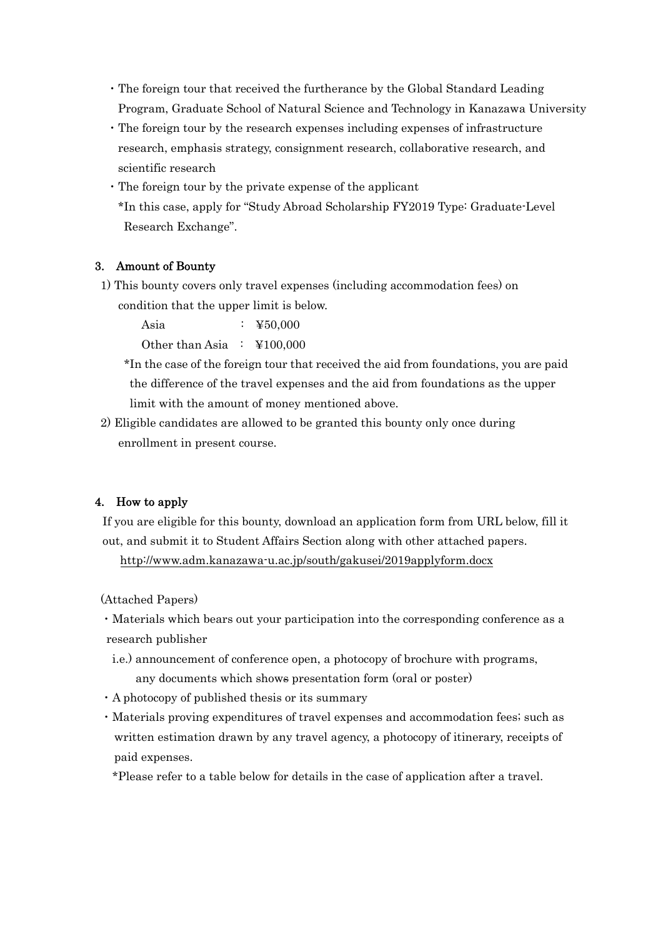- ・The foreign tour that received the furtherance by the Global Standard Leading Program, Graduate School of Natural Science and Technology in Kanazawa University
- ・The foreign tour by the research expenses including expenses of infrastructure research, emphasis strategy, consignment research, collaborative research, and scientific research
- ・The foreign tour by the private expense of the applicant \*In this case, apply for "Study Abroad Scholarship FY2019 Type: Graduate-Level Research Exchange".

### 3. Amount of Bounty

1) This bounty covers only travel expenses (including accommodation fees) on condition that the upper limit is below.

Asia : ¥50,000 Other than Asia : ¥100,000

- \*In the case of the foreign tour that received the aid from foundations, you are paid the difference of the travel expenses and the aid from foundations as the upper limit with the amount of money mentioned above.
- 2) Eligible candidates are allowed to be granted this bounty only once during enrollment in present course.

### 4. How to apply

If you are eligible for this bounty, download an application form from URL below, fill it out, and submit it to Student Affairs Section along with other attached papers.

http://www.adm.kanazawa-u.ac.jp/south/gakusei/2019applyform.docx

(Attached Papers)

・Materials which bears out your participation into the corresponding conference as a research publisher

- i.e.) announcement of conference open, a photocopy of brochure with programs, any documents which shows presentation form (oral or poster)
- ・A photocopy of published thesis or its summary
- ・Materials proving expenditures of travel expenses and accommodation fees; such as written estimation drawn by any travel agency, a photocopy of itinerary, receipts of paid expenses.

\*Please refer to a table below for details in the case of application after a travel.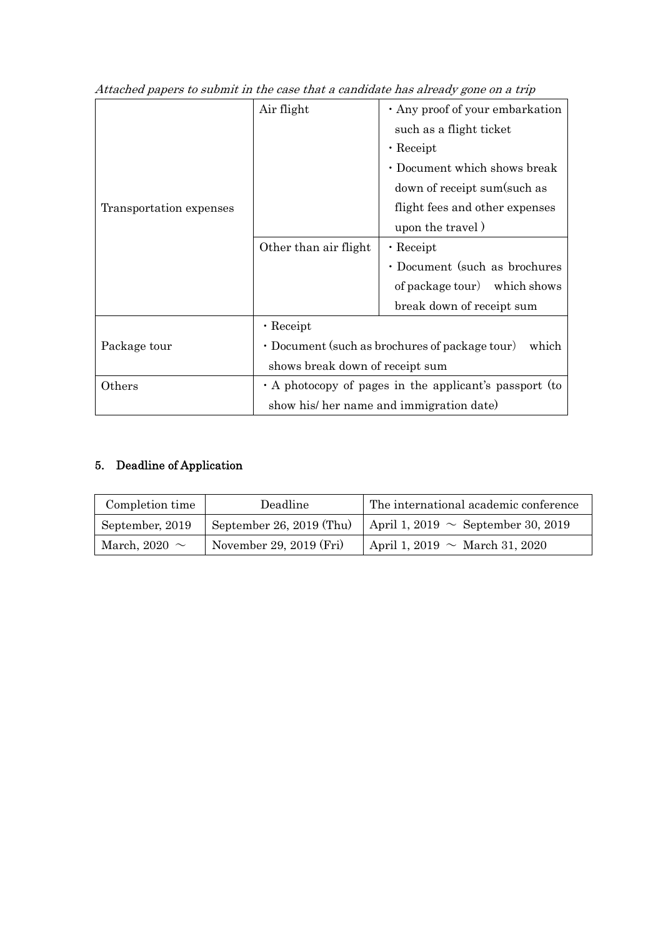| Transportation expenses | Air flight                                                    | · Any proof of your embarkation |
|-------------------------|---------------------------------------------------------------|---------------------------------|
|                         |                                                               | such as a flight ticket         |
|                         |                                                               | $\cdot$ Receipt                 |
|                         |                                                               | · Document which shows break    |
|                         |                                                               | down of receipt sum(such as     |
|                         |                                                               | flight fees and other expenses  |
|                         |                                                               | upon the travel)                |
|                         | Other than air flight                                         | $\cdot$ Receipt                 |
|                         |                                                               | · Document (such as brochures   |
|                         |                                                               | of package tour) which shows    |
|                         |                                                               | break down of receipt sum       |
|                         | $\cdot$ Receipt                                               |                                 |
| Package tour            | $\cdot$ Document (such as brochures of package tour)<br>which |                                 |
|                         | shows break down of receipt sum                               |                                 |
| Others                  | $\cdot$ A photocopy of pages in the applicant's passport (to  |                                 |
|                         | show his/ her name and immigration date)                      |                                 |

Attached papers to submit in the case that a candidate has already gone on a trip

# 5. Deadline of Application

| Completion time    | Deadline                 | The international academic conference   |
|--------------------|--------------------------|-----------------------------------------|
| September, 2019    | September 26, 2019 (Thu) | April 1, 2019 $\sim$ September 30, 2019 |
| March, 2020 $\sim$ | November 29, 2019 (Fri)  | April 1, 2019 $\sim$ March 31, 2020     |